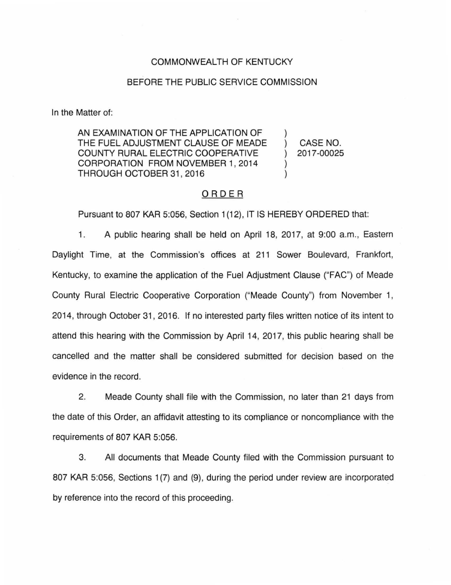#### COMMONWEALTH OF KENTUCKY

## BEFORE THE PUBLIC SERVICE COMMISSION

In the Matter of:

AN EXAMINATION OF THE APPLICATION OF THE FUEL ADJUSTMENT CLAUSE OF MEADE COUNTY RURAL ELECTRIC COOPERATIVE CORPORATION FROM NOVEMBER 1, 2014 THROUGH OCTOBER 31, 2016

) CASE NO. ) 2017-00025

)

) )

# ORDER

Pursuant to 807 KAR 5:056, Section 1(12), IT IS HEREBY ORDERED that:

1. A public hearing shall be held on April 18, 2017, at 9:00 a.m., Eastern Daylight Time, at the Commission's offices at 211 Sower Boulevard, Frankfort, Kentucky, to examine the application of the Fuel Adjustment Clause ("FAC") of Meade County Rural Electric Cooperative Corporation ("Meade County") from November 1, 2014, through October 31 , 2016. If no interested party files written notice of its intent to attend this hearing with the Commission by April 14, 2017, this public hearing shall be cancelled and the matter shall be considered submitted for decision based on the evidence in the record.

2. Meade County shall file with the Commission, no later than 21 days from the date of this Order, an affidavit attesting to its compliance or noncompliance with the requirements of 807 KAR 5:056.

3. All documents that Meade County filed with the Commission pursuant to 807 KAR 5:056, Sections 1(7) and (9), during the period under review are incorporated by reference into the record of this proceeding.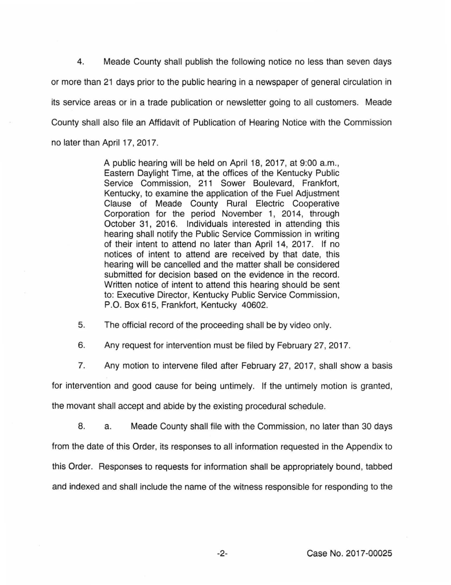4. Meade County shall publish the following notice no less than seven days or more than 21 days prior to the public hearing in a newspaper of general circulation in its service areas or in a trade publication or newsletter going to all customers. Meade County shall also file an Affidavit of Publication of Hearing Notice with the Commission no later than April 17, 2017.

> A public hearing will be held on April 18, 2017, at 9:00 a.m., Eastern Daylight Time, at the offices of the Kentucky Public Service Commission, 211 Sower Boulevard, Frankfort, Kentucky, to examine the application of the Fuel Adjustment Clause of Meade County Rural Electric Cooperative Corporation for the period November 1, 2014, through October 31, 2016. Individuals interested in attending this hearing shall notify the Public Service Commission in writing of their intent to attend no later than April 14, 2017. If no notices of intent to attend are received by that date, this hearing will be cancelled and the matter shall be considered submitted for decision based on the evidence in the record. Written notice of intent to attend this hearing should be sent to: Executive Director, Kentucky Public Service Commission, P.O. Box 615, Frankfort, Kentucky 40602.

5. The official record of the proceeding shall be by video only.

6. Any request for intervention must be filed by February 27, 2017.

7. Any motion to intervene filed after February 27, 2017, shall show a basis

for intervention and good cause for being untimely. If the untimely motion is granted,

the movant shall accept and abide by the existing procedural schedule.

8. a. Meade County shall file with the Commission, no later than 30 days from the date of this Order, its responses to all information requested in the Appendix to this Order. Responses to requests for information shall be appropriately bound, tabbed and indexed and shall include the name of the witness responsible for responding to the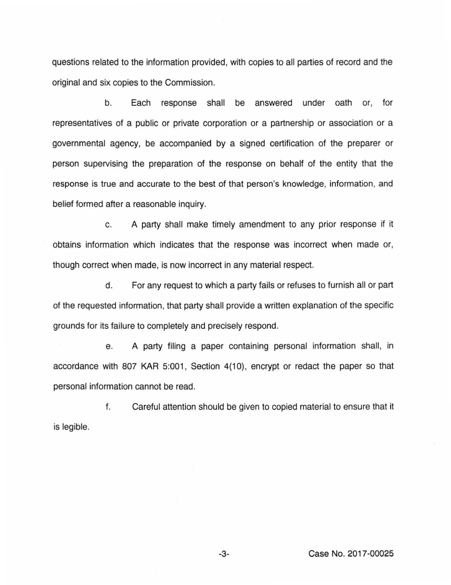questions related to the information provided, with copies to all parties of record and the original and six copies to the Commission.

b. Each response shall be answered under oath or, for representatives of a public or private corporation or a partnership or association or a governmental agency, be accompanied by a signed certification of the preparer or person supervising the preparation of the response on behalf of the entity that the response is true and accurate to the best of that person's knowledge, information, and belief formed after a reasonable inquiry.

c. A party shall make timely amendment to any prior response if it obtains information which indicates that the response was incorrect when made or, though correct when made, is now incorrect in any material respect.

d. For any request to which a party fails or refuses to furnish all or part of the requested information, that party shall provide a written explanation of the specific grounds for its failure to completely and precisely respond.

e. A party filing a paper containing personal information shall, in accordance with 807 KAR 5:001, Section 4(10), encrypt or redact the paper so that personal information cannot be read.

f. Careful attention should be given to copied material to ensure that it is legible.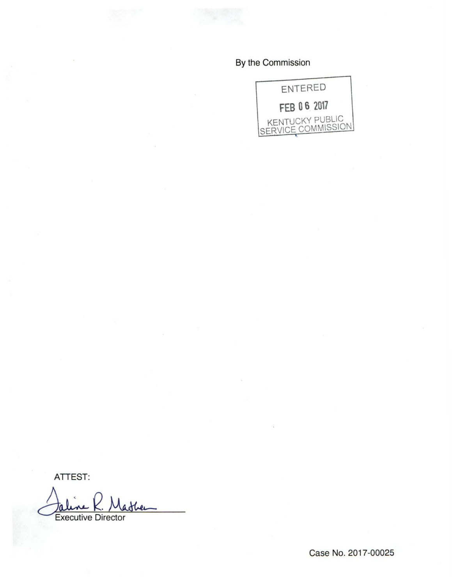# By the Commission



ATTEST:

Jalene K. Masher

Case No. 2017-00025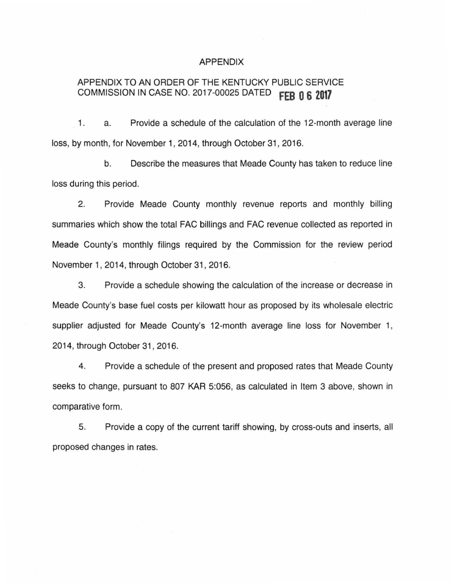## APPENDIX

# APPENDIX TO AN ORDER OF THE KENTUCKY PUBLIC SERVICE COMMISSION IN CASE NO. 2017-00025 DATED **fEB Q 6 2017**

1. a. Provide a schedule of the calculation of the 12-month average line loss, by month, for November 1, 2014, through October 31 , 2016.

b. Describe the measures that Meade County has taken to reduce line loss during this period.

2. Provide Meade County monthly revenue reports and monthly billing summaries which show the total FAC billings and FAC revenue collected as reported in Meade County's monthly filings required by the Commission for the review period November 1, 2014, through October 31, 2016.

3. Provide a schedule showing the calculation of the increase or decrease in Meade County's base fuel costs per kilowatt hour as proposed by its wholesale electric supplier adjusted for Meade County's 12-month average line loss for November 1, 2014, through October 31 , 2016.

4. Provide a schedule of the present and proposed rates that Meade County seeks to change, pursuant to 807 KAR 5:056, as calculated in Item 3 above, shown in comparative form.

5. Provide a copy of the current tariff showing, by cross-outs and inserts, all proposed changes in rates.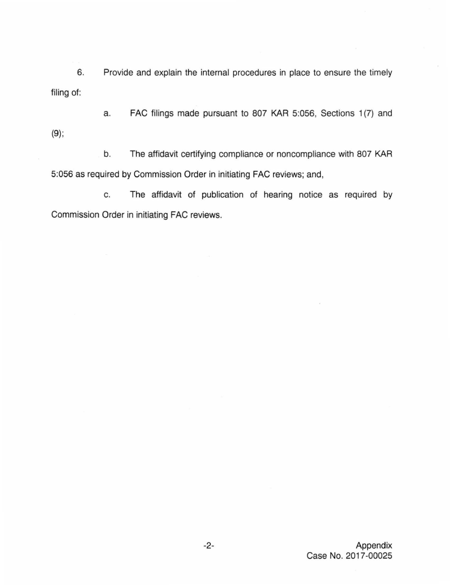6. Provide and explain the internal procedures in place to ensure the timely filing of:

a. FAC filings made pursuant to 807 KAR 5:056, Sections 1(7) and (9);

b. The affidavit certifying compliance or noncompliance with 807 KAR 5:056 as required by Commission Order in initiating FAC reviews; and,

c. The affidavit of publication of hearing notice as required by Commission Order in initiating FAC reviews.